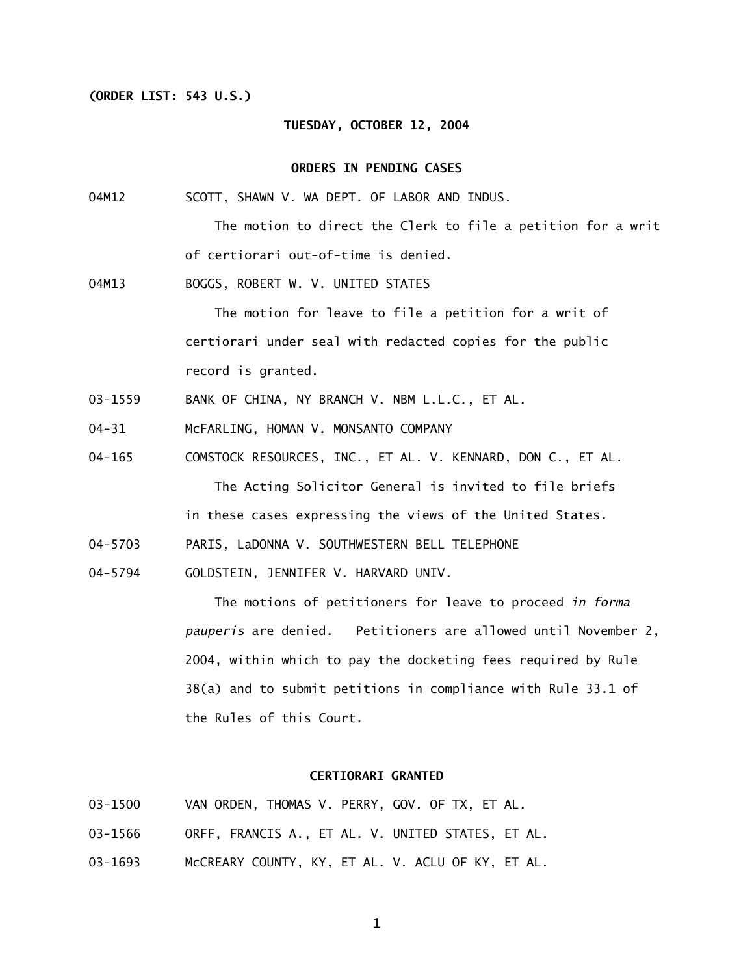### **(ORDER LIST: 543 U.S.)**

## **TUESDAY, OCTOBER 12, 2004**

#### **ORDERS IN PENDING CASES**

04M12 SCOTT, SHAWN V. WA DEPT. OF LABOR AND INDUS.

> The motion to direct the Clerk to file a petition for a writ of certiorari out-of-time is denied.

04M13 BOGGS, ROBERT W. V. UNITED STATES

> The motion for leave to file a petition for a writ of certiorari under seal with redacted copies for the public record is granted.

- 03-1559 BANK OF CHINA, NY BRANCH V. NBM L.L.C., ET AL.
- 04-31 McFARLING, HOMAN V. MONSANTO COMPANY
- 04-165 COMSTOCK RESOURCES, INC., ET AL. V. KENNARD, DON C., ET AL.

The Acting Solicitor General is invited to file briefs

in these cases expressing the views of the United States.

- 04-5703 PARIS, LaDONNA V. SOUTHWESTERN BELL TELEPHONE
- 04-5794 GOLDSTEIN, JENNIFER V. HARVARD UNIV.

 The motions of petitioners for leave to proceed *in forma pauperis* are denied. Petitioners are allowed until November 2, 2004, within which to pay the docketing fees required by Rule 38(a) and to submit petitions in compliance with Rule 33.1 of the Rules of this Court.

#### **CERTIORARI GRANTED**

- 03-1500 VAN ORDEN, THOMAS V. PERRY, GOV. OF TX, ET AL.
- 03-1566 ORFF, FRANCIS A., ET AL. V. UNITED STATES, ET AL.
- 03-1693 McCREARY COUNTY, KY, ET AL. V. ACLU OF KY, ET AL.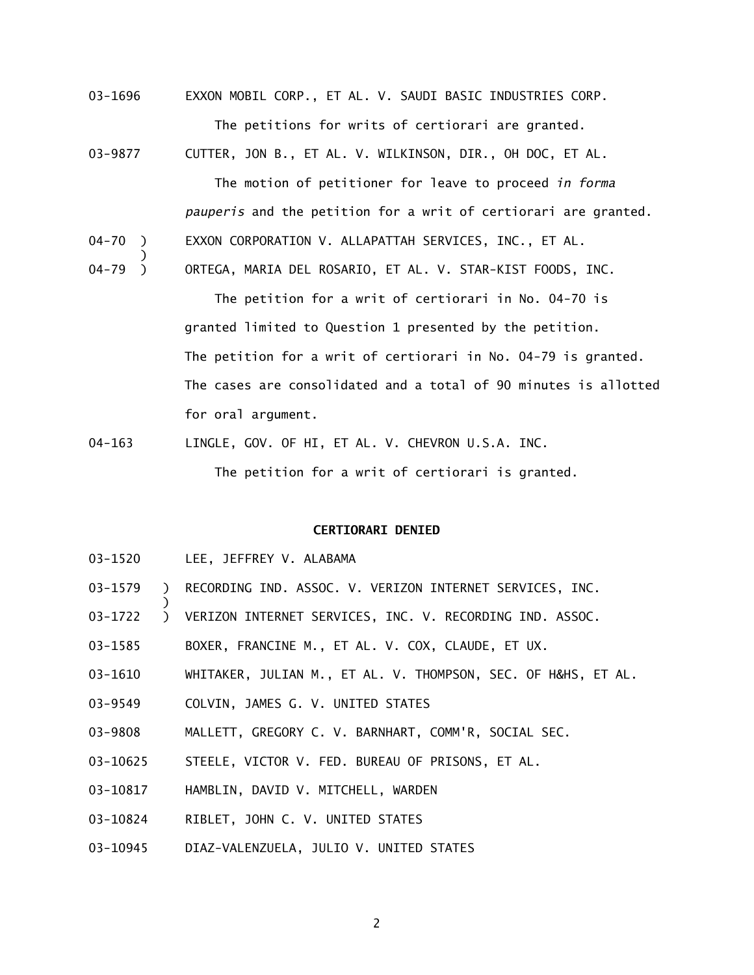- 03-1696 EXXON MOBIL CORP., ET AL. V. SAUDI BASIC INDUSTRIES CORP. The petitions for writs of certiorari are granted.
- 03-9877 CUTTER, JON B., ET AL. V. WILKINSON, DIR., OH DOC, ET AL. The motion of petitioner for leave to proceed *in forma pauperis* and the petition for a writ of certiorari are granted. 04-70 ) EXXON CORPORATION V. ALLAPATTAH SERVICES, INC., ET AL. )
- 04-79 ) ORTEGA, MARIA DEL ROSARIO, ET AL. V. STAR-KIST FOODS, INC.

 The petition for a writ of certiorari in No. 04-70 is granted limited to Question 1 presented by the petition. The petition for a writ of certiorari in No. 04-79 is granted. The cases are consolidated and a total of 90 minutes is allotted for oral argument.

04-163 LINGLE, GOV. OF HI, ET AL. V. CHEVRON U.S.A. INC. The petition for a writ of certiorari is granted.

#### **CERTIORARI DENIED**

03-1520 LEE, JEFFREY V. ALABAMA

)

- 03-1579 ) RECORDING IND. ASSOC. V. VERIZON INTERNET SERVICES, INC.
- 03-1722 ) VERIZON INTERNET SERVICES, INC. V. RECORDING IND. ASSOC.
- 03-1585 BOXER, FRANCINE M., ET AL. V. COX, CLAUDE, ET UX.
- 03-1610 WHITAKER, JULIAN M., ET AL. V. THOMPSON, SEC. OF H&HS, ET AL.
- 03-9549 COLVIN, JAMES G. V. UNITED STATES
- 03-9808 MALLETT, GREGORY C. V. BARNHART, COMM'R, SOCIAL SEC.
- 03-10625 STEELE, VICTOR V. FED. BUREAU OF PRISONS, ET AL.
- 03-10817 HAMBLIN, DAVID V. MITCHELL, WARDEN
- 03-10824 RIBLET, JOHN C. V. UNITED STATES
- 03-10945 DIAZ-VALENZUELA, JULIO V. UNITED STATES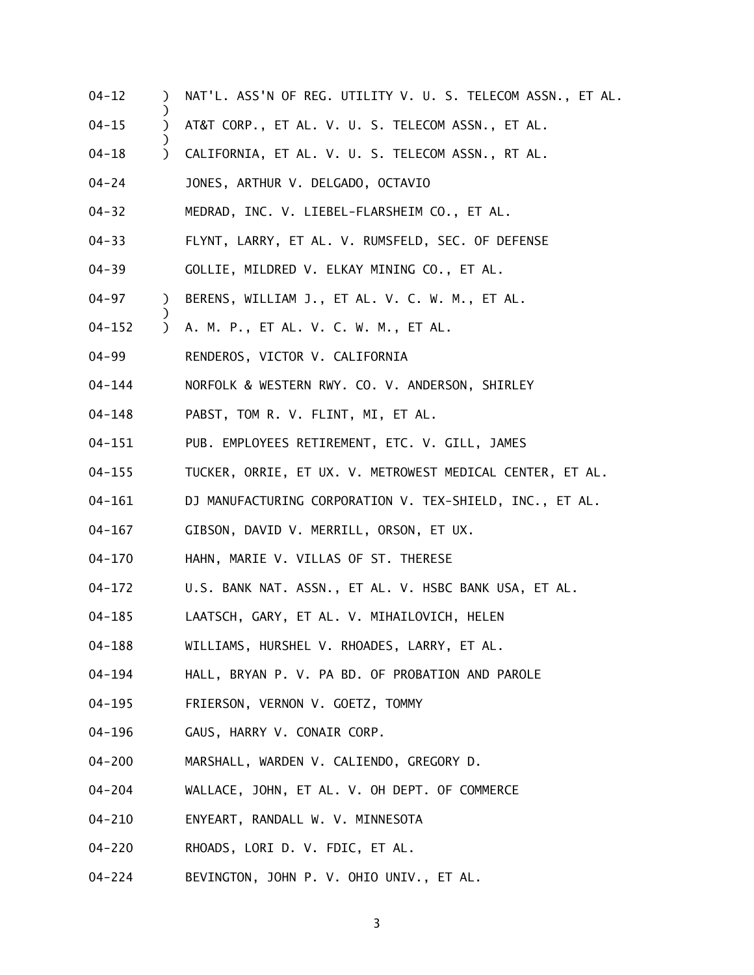- 04-12 ) NAT'L. ASS'N OF REG. UTILITY V. U. S. TELECOM ASSN., ET AL.
- 04-15 ) AT&T CORP., ET AL. V. U. S. TELECOM ASSN., ET AL.
- 04-18 ) CALIFORNIA, ET AL. V. U. S. TELECOM ASSN., RT AL.
- 04-24 JONES, ARTHUR V. DELGADO, OCTAVIO

)

)

)

- 04-32 MEDRAD, INC. V. LIEBEL-FLARSHEIM CO., ET AL.
- 04-33 FLYNT, LARRY, ET AL. V. RUMSFELD, SEC. OF DEFENSE
- 04-39 GOLLIE, MILDRED V. ELKAY MINING CO., ET AL.
- 04-97 ) BERENS, WILLIAM J., ET AL. V. C. W. M., ET AL.
- 04-152 ) A. M. P., ET AL. V. C. W. M., ET AL.
- 04-99 RENDEROS, VICTOR V. CALIFORNIA
- 04-144 NORFOLK & WESTERN RWY. CO. V. ANDERSON, SHIRLEY
- 04-148 PABST, TOM R. V. FLINT, MI, ET AL.
- 04-151 PUB. EMPLOYEES RETIREMENT, ETC. V. GILL, JAMES
- 04-155 TUCKER, ORRIE, ET UX. V. METROWEST MEDICAL CENTER, ET AL.
- 04-161 DJ MANUFACTURING CORPORATION V. TEX-SHIELD, INC., ET AL.
- 04-167 GIBSON, DAVID V. MERRILL, ORSON, ET UX.
- 04-170 HAHN, MARIE V. VILLAS OF ST. THERESE
- 04-172 U.S. BANK NAT. ASSN., ET AL. V. HSBC BANK USA, ET AL.
- 04-185 LAATSCH, GARY, ET AL. V. MIHAILOVICH, HELEN
- 04-188 WILLIAMS, HURSHEL V. RHOADES, LARRY, ET AL.
- 04-194 HALL, BRYAN P. V. PA BD. OF PROBATION AND PAROLE
- 04-195 FRIERSON, VERNON V. GOETZ, TOMMY
- 04-196 GAUS, HARRY V. CONAIR CORP.
- 04-200 MARSHALL, WARDEN V. CALIENDO, GREGORY D.
- 04-204 WALLACE, JOHN, ET AL. V. OH DEPT. OF COMMERCE
- 04-210 ENYEART, RANDALL W. V. MINNESOTA
- 04-220 RHOADS, LORI D. V. FDIC, ET AL.
- 04-224 BEVINGTON, JOHN P. V. OHIO UNIV., ET AL.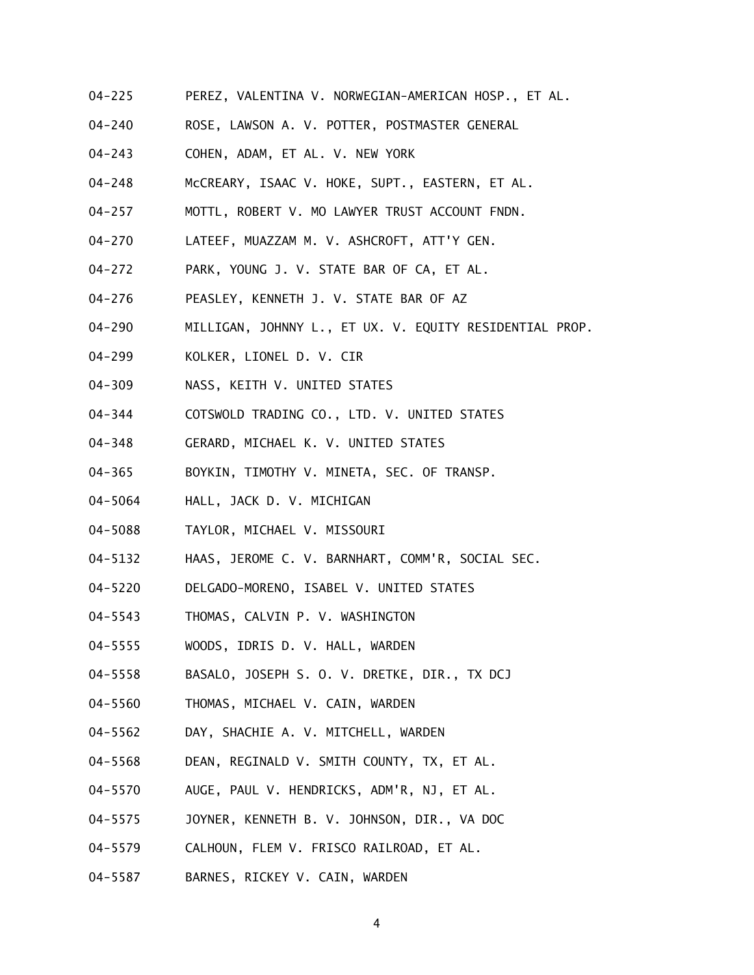- 04-225 PEREZ, VALENTINA V. NORWEGIAN-AMERICAN HOSP., ET AL.
- 04-240 ROSE, LAWSON A. V. POTTER, POSTMASTER GENERAL
- 04-243 COHEN, ADAM, ET AL. V. NEW YORK
- 04-248 McCREARY, ISAAC V. HOKE, SUPT., EASTERN, ET AL.
- 04-257 MOTTL, ROBERT V. MO LAWYER TRUST ACCOUNT FNDN.
- 04-270 LATEEF, MUAZZAM M. V. ASHCROFT, ATT'Y GEN.
- 04-272 PARK, YOUNG J. V. STATE BAR OF CA, ET AL.
- 04-276 PEASLEY, KENNETH J. V. STATE BAR OF AZ
- 04-290 MILLIGAN, JOHNNY L., ET UX. V. EQUITY RESIDENTIAL PROP.
- 04-299 KOLKER, LIONEL D. V. CIR
- 04-309 NASS, KEITH V. UNITED STATES
- 04-344 COTSWOLD TRADING CO., LTD. V. UNITED STATES
- 04-348 GERARD, MICHAEL K. V. UNITED STATES
- 04-365 BOYKIN, TIMOTHY V. MINETA, SEC. OF TRANSP.
- 04-5064 HALL, JACK D. V. MICHIGAN
- 04-5088 TAYLOR, MICHAEL V. MISSOURI
- 04-5132 HAAS, JEROME C. V. BARNHART, COMM'R, SOCIAL SEC.
- 04-5220 DELGADO-MORENO, ISABEL V. UNITED STATES
- 04-5543 THOMAS, CALVIN P. V. WASHINGTON
- 04-5555 WOODS, IDRIS D. V. HALL, WARDEN
- 04-5558 BASALO, JOSEPH S. O. V. DRETKE, DIR., TX DCJ
- 04-5560 THOMAS, MICHAEL V. CAIN, WARDEN
- 04-5562 DAY, SHACHIE A. V. MITCHELL, WARDEN
- 04-5568 DEAN, REGINALD V. SMITH COUNTY, TX, ET AL.
- 04-5570 AUGE, PAUL V. HENDRICKS, ADM'R, NJ, ET AL.
- 04-5575 JOYNER, KENNETH B. V. JOHNSON, DIR., VA DOC
- 04-5579 CALHOUN, FLEM V. FRISCO RAILROAD, ET AL.
- 04-5587 BARNES, RICKEY V. CAIN, WARDEN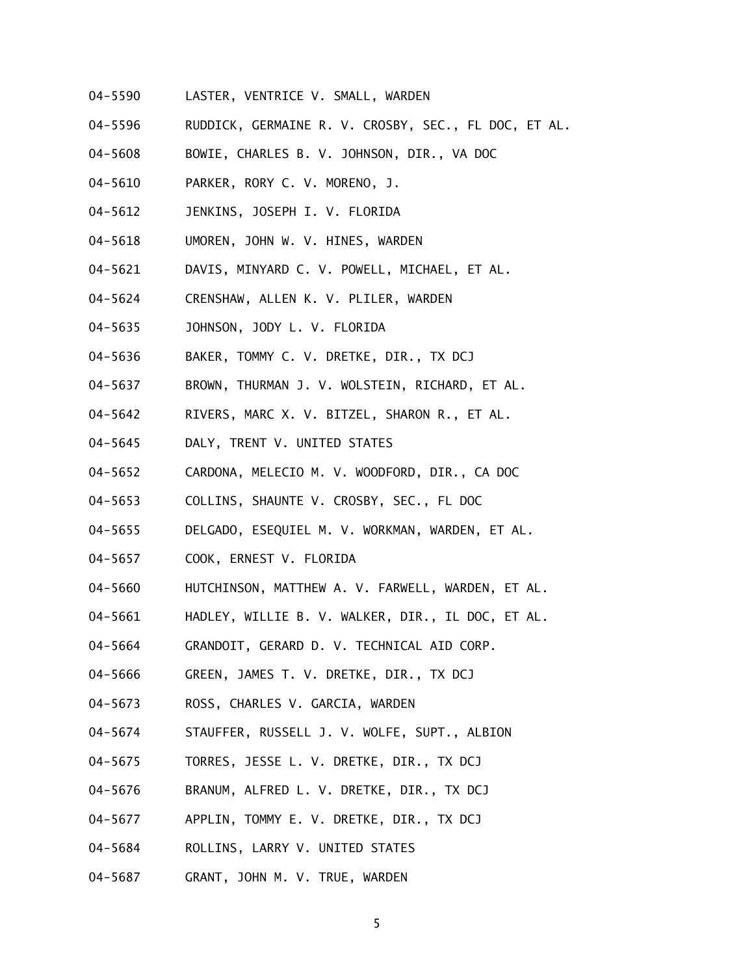- 04-5590 LASTER, VENTRICE V. SMALL, WARDEN
- 04-5596 RUDDICK, GERMAINE R. V. CROSBY, SEC., FL DOC, ET AL.
- 04-5608 BOWIE, CHARLES B. V. JOHNSON, DIR., VA DOC
- 04-5610 PARKER, RORY C. V. MORENO, J.
- 04-5612 JENKINS, JOSEPH I. V. FLORIDA
- 04-5618 UMOREN, JOHN W. V. HINES, WARDEN
- 04-5621 DAVIS, MINYARD C. V. POWELL, MICHAEL, ET AL.
- 04-5624 CRENSHAW, ALLEN K. V. PLILER, WARDEN
- 04-5635 JOHNSON, JODY L. V. FLORIDA
- 04-5636 BAKER, TOMMY C. V. DRETKE, DIR., TX DCJ
- 04-5637 BROWN, THURMAN J. V. WOLSTEIN, RICHARD, ET AL.
- 04-5642 RIVERS, MARC X. V. BITZEL, SHARON R., ET AL.
- 04-5645 DALY, TRENT V. UNITED STATES
- 04-5652 CARDONA, MELECIO M. V. WOODFORD, DIR., CA DOC
- 04-5653 COLLINS, SHAUNTE V. CROSBY, SEC., FL DOC
- 04-5655 DELGADO, ESEQUIEL M. V. WORKMAN, WARDEN, ET AL.
- 04-5657 COOK, ERNEST V. FLORIDA
- 04-5660 HUTCHINSON, MATTHEW A. V. FARWELL, WARDEN, ET AL.
- 04-5661 HADLEY, WILLIE B. V. WALKER, DIR., IL DOC, ET AL.
- 04-5664 GRANDOIT, GERARD D. V. TECHNICAL AID CORP.
- 04-5666 GREEN, JAMES T. V. DRETKE, DIR., TX DCJ
- 04-5673 ROSS, CHARLES V. GARCIA, WARDEN
- 04-5674 STAUFFER, RUSSELL J. V. WOLFE, SUPT., ALBION
- 04-5675 TORRES, JESSE L. V. DRETKE, DIR., TX DCJ
- 04-5676 BRANUM, ALFRED L. V. DRETKE, DIR., TX DCJ
- 04-5677 APPLIN, TOMMY E. V. DRETKE, DIR., TX DCJ
- 04-5684 ROLLINS, LARRY V. UNITED STATES
- 04-5687 GRANT, JOHN M. V. TRUE, WARDEN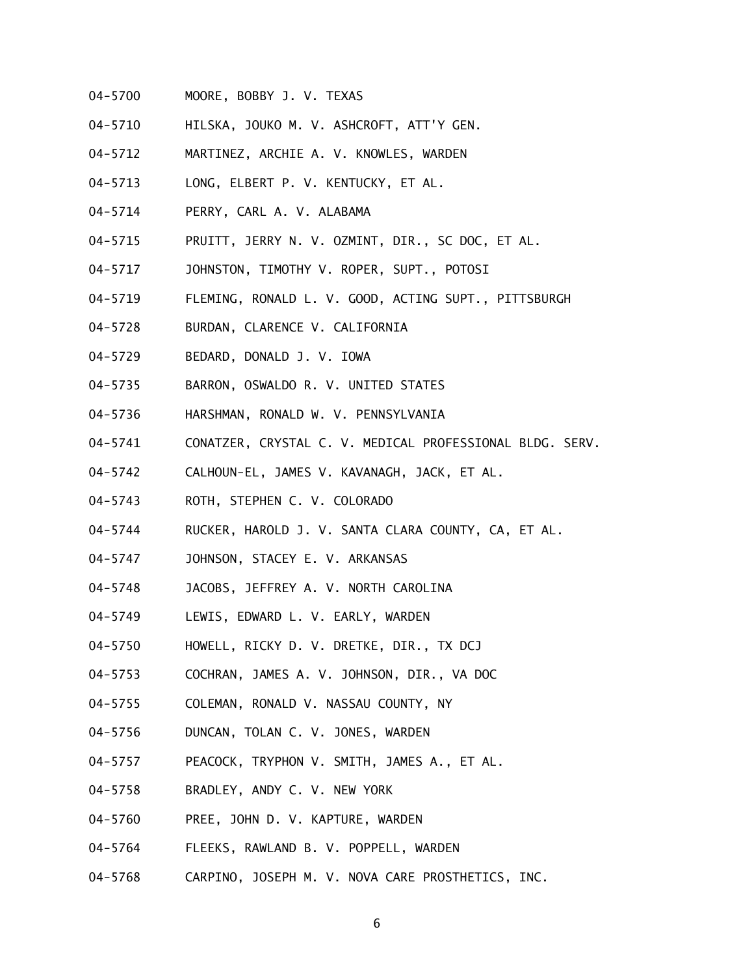- 04-5700 MOORE, BOBBY J. V. TEXAS
- 04-5710 HILSKA, JOUKO M. V. ASHCROFT, ATT'Y GEN.
- 04-5712 MARTINEZ, ARCHIE A. V. KNOWLES, WARDEN
- 04-5713 LONG, ELBERT P. V. KENTUCKY, ET AL.
- 04-5714 PERRY, CARL A. V. ALABAMA
- 04-5715 PRUITT, JERRY N. V. OZMINT, DIR., SC DOC, ET AL.
- 04-5717 JOHNSTON, TIMOTHY V. ROPER, SUPT., POTOSI
- 04-5719 FLEMING, RONALD L. V. GOOD, ACTING SUPT., PITTSBURGH
- 04-5728 BURDAN, CLARENCE V. CALIFORNIA
- 04-5729 BEDARD, DONALD J. V. IOWA
- 04-5735 BARRON, OSWALDO R. V. UNITED STATES
- 04-5736 HARSHMAN, RONALD W. V. PENNSYLVANIA
- 04-5741 CONATZER, CRYSTAL C. V. MEDICAL PROFESSIONAL BLDG. SERV.
- 04-5742 CALHOUN-EL, JAMES V. KAVANAGH, JACK, ET AL.
- 04-5743 ROTH, STEPHEN C. V. COLORADO
- 04-5744 RUCKER, HAROLD J. V. SANTA CLARA COUNTY, CA, ET AL.
- 04-5747 JOHNSON, STACEY E. V. ARKANSAS
- 04-5748 JACOBS, JEFFREY A. V. NORTH CAROLINA
- 04-5749 LEWIS, EDWARD L. V. EARLY, WARDEN
- 04-5750 HOWELL, RICKY D. V. DRETKE, DIR., TX DCJ
- 04-5753 COCHRAN, JAMES A. V. JOHNSON, DIR., VA DOC
- 04-5755 COLEMAN, RONALD V. NASSAU COUNTY, NY
- 04-5756 DUNCAN, TOLAN C. V. JONES, WARDEN
- 04-5757 PEACOCK, TRYPHON V. SMITH, JAMES A., ET AL.
- 04-5758 BRADLEY, ANDY C. V. NEW YORK
- 04-5760 PREE, JOHN D. V. KAPTURE, WARDEN
- 04-5764 FLEEKS, RAWLAND B. V. POPPELL, WARDEN
- 04-5768 CARPINO, JOSEPH M. V. NOVA CARE PROSTHETICS, INC.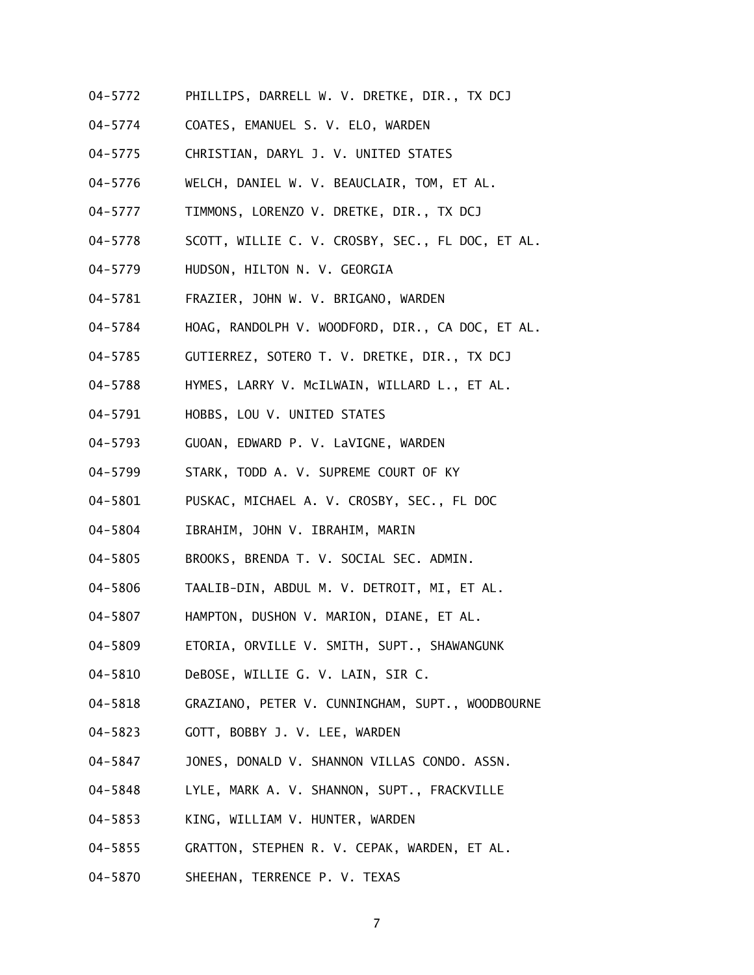- 04-5772 PHILLIPS, DARRELL W. V. DRETKE, DIR., TX DCJ
- 04-5774 COATES, EMANUEL S. V. ELO, WARDEN
- 04-5775 CHRISTIAN, DARYL J. V. UNITED STATES
- 04-5776 WELCH, DANIEL W. V. BEAUCLAIR, TOM, ET AL.
- 04-5777 TIMMONS, LORENZO V. DRETKE, DIR., TX DCJ
- 04-5778 SCOTT, WILLIE C. V. CROSBY, SEC., FL DOC, ET AL.
- 04-5779 HUDSON, HILTON N. V. GEORGIA
- 04-5781 FRAZIER, JOHN W. V. BRIGANO, WARDEN
- 04-5784 HOAG, RANDOLPH V. WOODFORD, DIR., CA DOC, ET AL.
- 04-5785 GUTIERREZ, SOTERO T. V. DRETKE, DIR., TX DCJ
- 04-5788 HYMES, LARRY V. McILWAIN, WILLARD L., ET AL.
- 04-5791 HOBBS, LOU V. UNITED STATES
- 04-5793 GUOAN, EDWARD P. V. LaVIGNE, WARDEN
- 04-5799 STARK, TODD A. V. SUPREME COURT OF KY
- 04-5801 PUSKAC, MICHAEL A. V. CROSBY, SEC., FL DOC
- 04-5804 IBRAHIM, JOHN V. IBRAHIM, MARIN
- 04-5805 BROOKS, BRENDA T. V. SOCIAL SEC. ADMIN.
- 04-5806 TAALIB-DIN, ABDUL M. V. DETROIT, MI, ET AL.
- 04-5807 HAMPTON, DUSHON V. MARION, DIANE, ET AL.
- 04-5809 ETORIA, ORVILLE V. SMITH, SUPT., SHAWANGUNK
- 04-5810 DeBOSE, WILLIE G. V. LAIN, SIR C.
- 04-5818 GRAZIANO, PETER V. CUNNINGHAM, SUPT., WOODBOURNE
- 04-5823 GOTT, BOBBY J. V. LEE, WARDEN
- 04-5847 JONES, DONALD V. SHANNON VILLAS CONDO. ASSN.
- 04-5848 LYLE, MARK A. V. SHANNON, SUPT., FRACKVILLE
- 04-5853 KING, WILLIAM V. HUNTER, WARDEN
- 04-5855 GRATTON, STEPHEN R. V. CEPAK, WARDEN, ET AL.
- 04-5870 SHEEHAN, TERRENCE P. V. TEXAS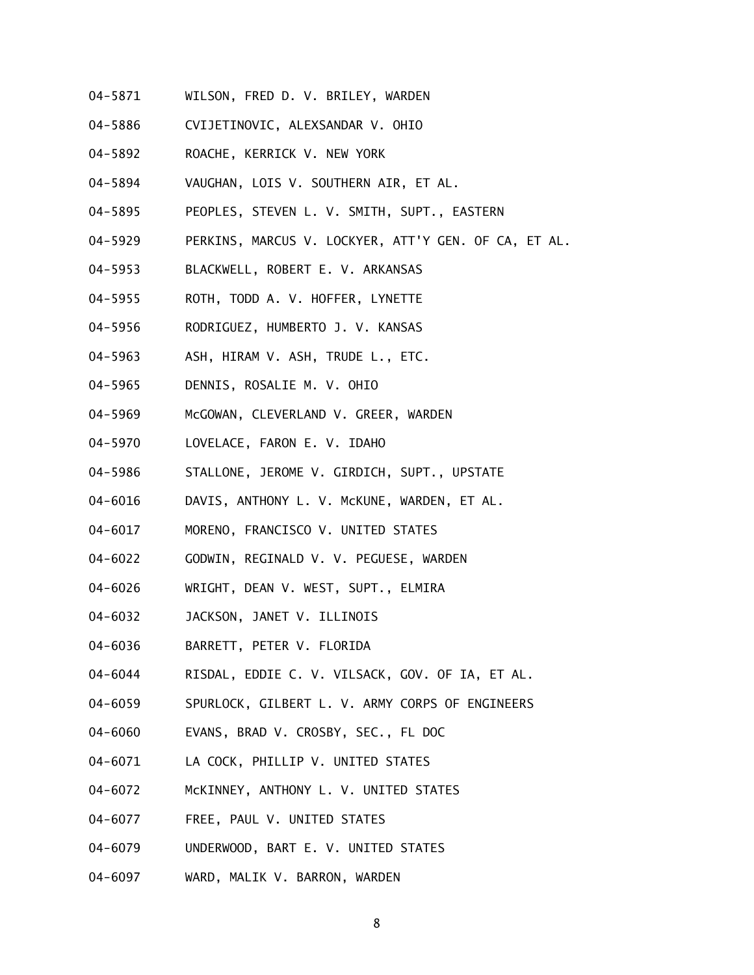- 04-5871 WILSON, FRED D. V. BRILEY, WARDEN
- 04-5886 CVIJETINOVIC, ALEXSANDAR V. OHIO
- 04-5892 ROACHE, KERRICK V. NEW YORK
- 04-5894 VAUGHAN, LOIS V. SOUTHERN AIR, ET AL.
- 04-5895 PEOPLES, STEVEN L. V. SMITH, SUPT., EASTERN
- 04-5929 PERKINS, MARCUS V. LOCKYER, ATT'Y GEN. OF CA, ET AL.
- 04-5953 BLACKWELL, ROBERT E. V. ARKANSAS
- 04-5955 ROTH, TODD A. V. HOFFER, LYNETTE
- 04-5956 RODRIGUEZ, HUMBERTO J. V. KANSAS
- 04-5963 ASH, HIRAM V. ASH, TRUDE L., ETC.
- 04-5965 DENNIS, ROSALIE M. V. OHIO
- 04-5969 McGOWAN, CLEVERLAND V. GREER, WARDEN
- 04-5970 LOVELACE, FARON E. V. IDAHO
- 04-5986 STALLONE, JEROME V. GIRDICH, SUPT., UPSTATE
- 04-6016 DAVIS, ANTHONY L. V. McKUNE, WARDEN, ET AL.
- 04-6017 MORENO, FRANCISCO V. UNITED STATES
- 04-6022 GODWIN, REGINALD V. V. PEGUESE, WARDEN
- 04-6026 WRIGHT, DEAN V. WEST, SUPT., ELMIRA
- 04-6032 JACKSON, JANET V. ILLINOIS
- 04-6036 BARRETT, PETER V. FLORIDA
- 04-6044 RISDAL, EDDIE C. V. VILSACK, GOV. OF IA, ET AL.
- 04-6059 SPURLOCK, GILBERT L. V. ARMY CORPS OF ENGINEERS
- 04-6060 EVANS, BRAD V. CROSBY, SEC., FL DOC
- 04-6071 LA COCK, PHILLIP V. UNITED STATES
- 04-6072 McKINNEY, ANTHONY L. V. UNITED STATES
- 04-6077 FREE, PAUL V. UNITED STATES
- 04-6079 UNDERWOOD, BART E. V. UNITED STATES
- 04-6097 WARD, MALIK V. BARRON, WARDEN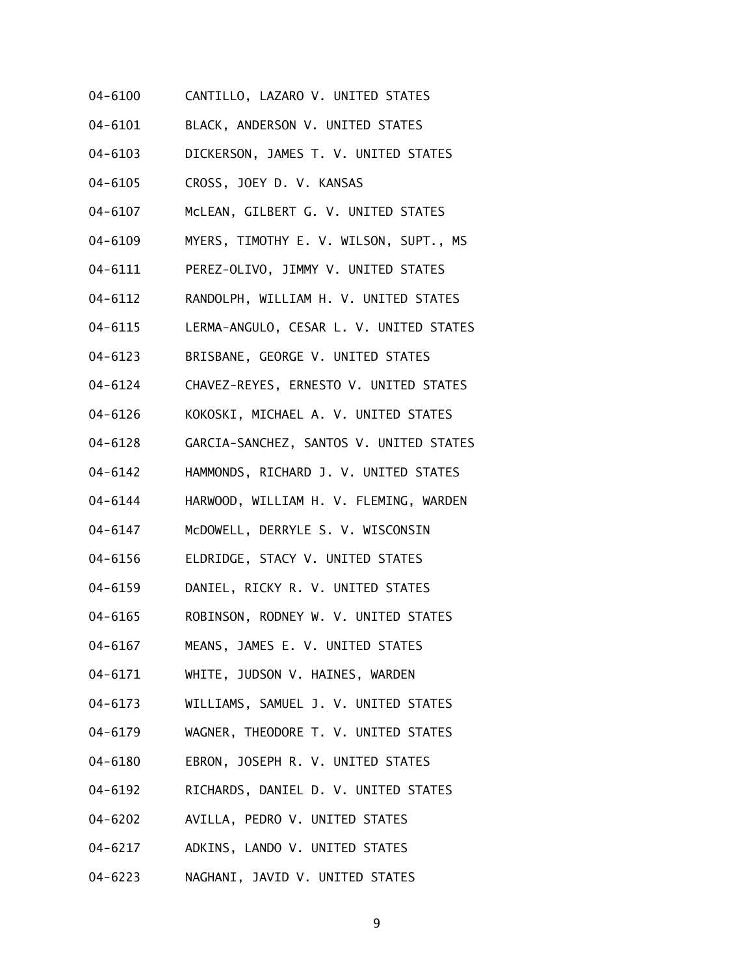- 04-6100 CANTILLO, LAZARO V. UNITED STATES
- 04-6101 BLACK, ANDERSON V. UNITED STATES
- 04-6103 DICKERSON, JAMES T. V. UNITED STATES
- 04-6105 CROSS, JOEY D. V. KANSAS
- 04-6107 McLEAN, GILBERT G. V. UNITED STATES
- 04-6109 MYERS, TIMOTHY E. V. WILSON, SUPT., MS
- 04-6111 PEREZ-OLIVO, JIMMY V. UNITED STATES
- 04-6112 RANDOLPH, WILLIAM H. V. UNITED STATES
- 04-6115 LERMA-ANGULO, CESAR L. V. UNITED STATES
- 04-6123 BRISBANE, GEORGE V. UNITED STATES
- 04-6124 CHAVEZ-REYES, ERNESTO V. UNITED STATES
- 04-6126 KOKOSKI, MICHAEL A. V. UNITED STATES
- 04-6128 GARCIA-SANCHEZ, SANTOS V. UNITED STATES
- 04-6142 HAMMONDS, RICHARD J. V. UNITED STATES
- 04-6144 HARWOOD, WILLIAM H. V. FLEMING, WARDEN
- 04-6147 McDOWELL, DERRYLE S. V. WISCONSIN
- 04-6156 ELDRIDGE, STACY V. UNITED STATES
- 04-6159 DANIEL, RICKY R. V. UNITED STATES
- 04-6165 ROBINSON, RODNEY W. V. UNITED STATES
- 04-6167 MEANS, JAMES E. V. UNITED STATES
- 04-6171 WHITE, JUDSON V. HAINES, WARDEN
- 04-6173 WILLIAMS, SAMUEL J. V. UNITED STATES
- 04-6179 WAGNER, THEODORE T. V. UNITED STATES
- 04-6180 EBRON, JOSEPH R. V. UNITED STATES
- 04-6192 RICHARDS, DANIEL D. V. UNITED STATES
- 04-6202 AVILLA, PEDRO V. UNITED STATES
- 04-6217 ADKINS, LANDO V. UNITED STATES
- 04-6223 NAGHANI, JAVID V. UNITED STATES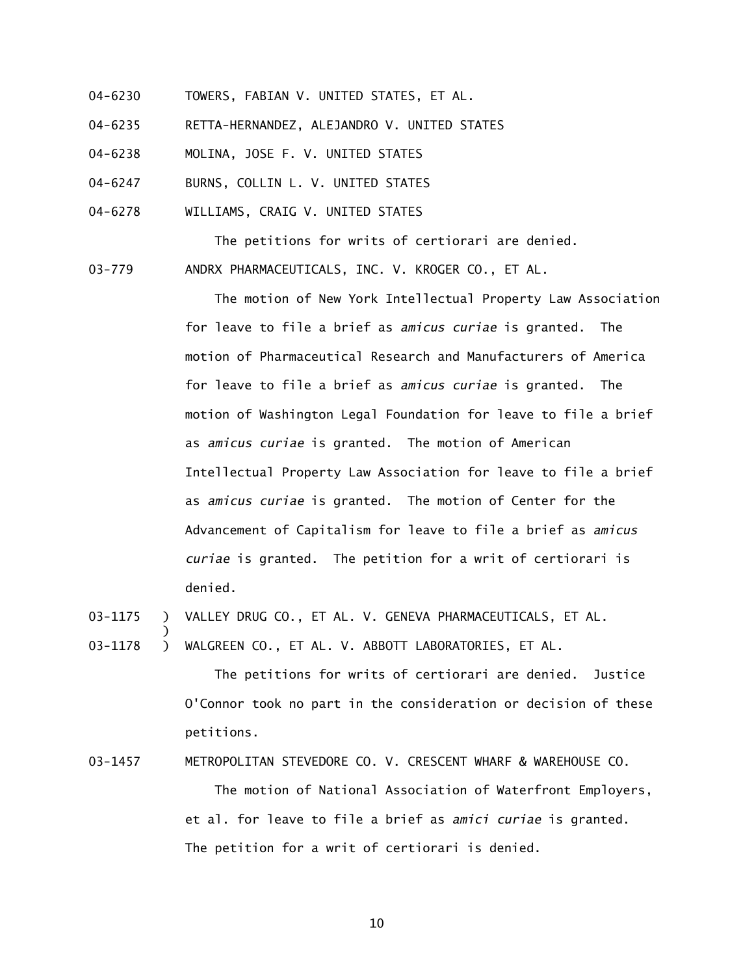- 04-6230 TOWERS, FABIAN V. UNITED STATES, ET AL.
- 04-6235 RETTA-HERNANDEZ, ALEJANDRO V. UNITED STATES
- 04-6238 MOLINA, JOSE F. V. UNITED STATES
- 04-6247 BURNS, COLLIN L. V. UNITED STATES
- 04-6278 WILLIAMS, CRAIG V. UNITED STATES

The petitions for writs of certiorari are denied. 03-779 ANDRX PHARMACEUTICALS, INC. V. KROGER CO., ET AL.

> The motion of New York Intellectual Property Law Association for leave to file a brief as *amicus curiae* is granted. The motion of Pharmaceutical Research and Manufacturers of America for leave to file a brief as *amicus curiae* is granted. The motion of Washington Legal Foundation for leave to file a brief as *amicus curiae* is granted. The motion of American Intellectual Property Law Association for leave to file a brief as *amicus curiae* is granted. The motion of Center for the Advancement of Capitalism for leave to file a brief as *amicus curiae* is granted. The petition for a writ of certiorari is denied.

- 03-1175 ) VALLEY DRUG CO., ET AL. V. GENEVA PHARMACEUTICALS, ET AL.
- 03-1178 ) WALGREEN CO., ET AL. V. ABBOTT LABORATORIES, ET AL.

)

 The petitions for writs of certiorari are denied. Justice O'Connor took no part in the consideration or decision of these petitions.

03-1457 METROPOLITAN STEVEDORE CO. V. CRESCENT WHARF & WAREHOUSE CO.

 The motion of National Association of Waterfront Employers, et al. for leave to file a brief as *amici curiae* is granted. The petition for a writ of certiorari is denied.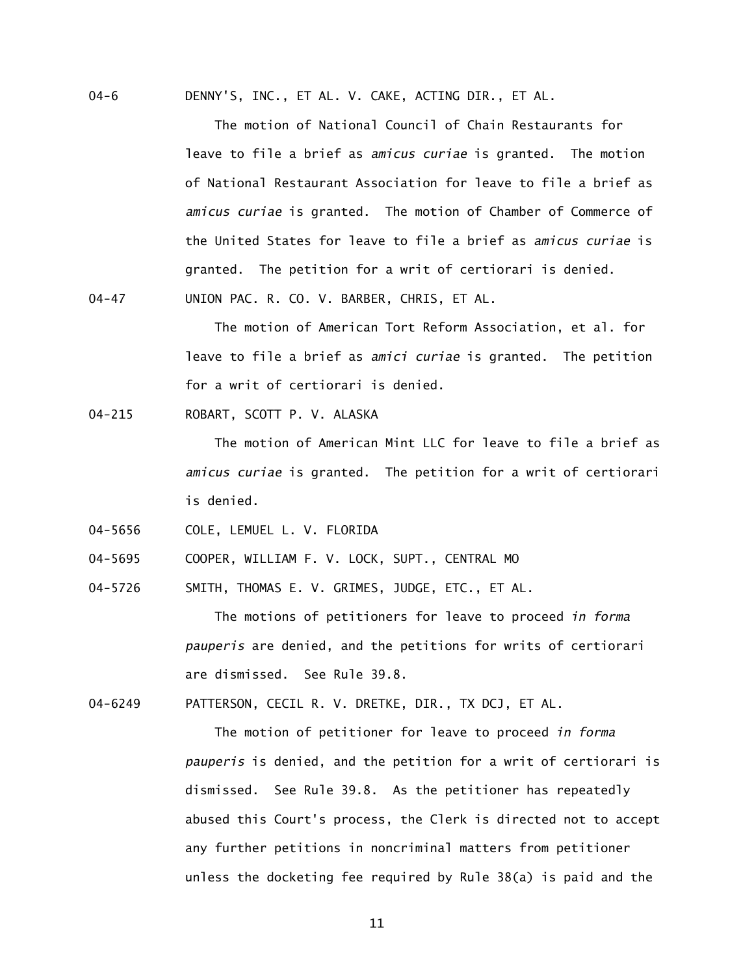04-6 DENNY'S, INC., ET AL. V. CAKE, ACTING DIR., ET AL.

 The motion of National Council of Chain Restaurants for leave to file a brief as *amicus curiae* is granted. The motion of National Restaurant Association for leave to file a brief as *amicus curiae* is granted. The motion of Chamber of Commerce of the United States for leave to file a brief as *amicus curiae* is granted. The petition for a writ of certiorari is denied. 04-47 UNION PAC. R. CO. V. BARBER, CHRIS, ET AL.

> The motion of American Tort Reform Association, et al. for leave to file a brief as *amici curiae* is granted. The petition for a writ of certiorari is denied.

04-215 ROBART, SCOTT P. V. ALASKA

 The motion of American Mint LLC for leave to file a brief as *amicus curiae* is granted. The petition for a writ of certiorari is denied.

04-5656 COLE, LEMUEL L. V. FLORIDA

04-5695 COOPER, WILLIAM F. V. LOCK, SUPT., CENTRAL MO

04-5726 SMITH, THOMAS E. V. GRIMES, JUDGE, ETC., ET AL.

 The motions of petitioners for leave to proceed *in forma pauperis* are denied, and the petitions for writs of certiorari are dismissed. See Rule 39.8.

04-6249 PATTERSON, CECIL R. V. DRETKE, DIR., TX DCJ, ET AL.

 The motion of petitioner for leave to proceed *in forma pauperis* is denied, and the petition for a writ of certiorari is dismissed. See Rule 39.8. As the petitioner has repeatedly abused this Court's process, the Clerk is directed not to accept any further petitions in noncriminal matters from petitioner unless the docketing fee required by Rule 38(a) is paid and the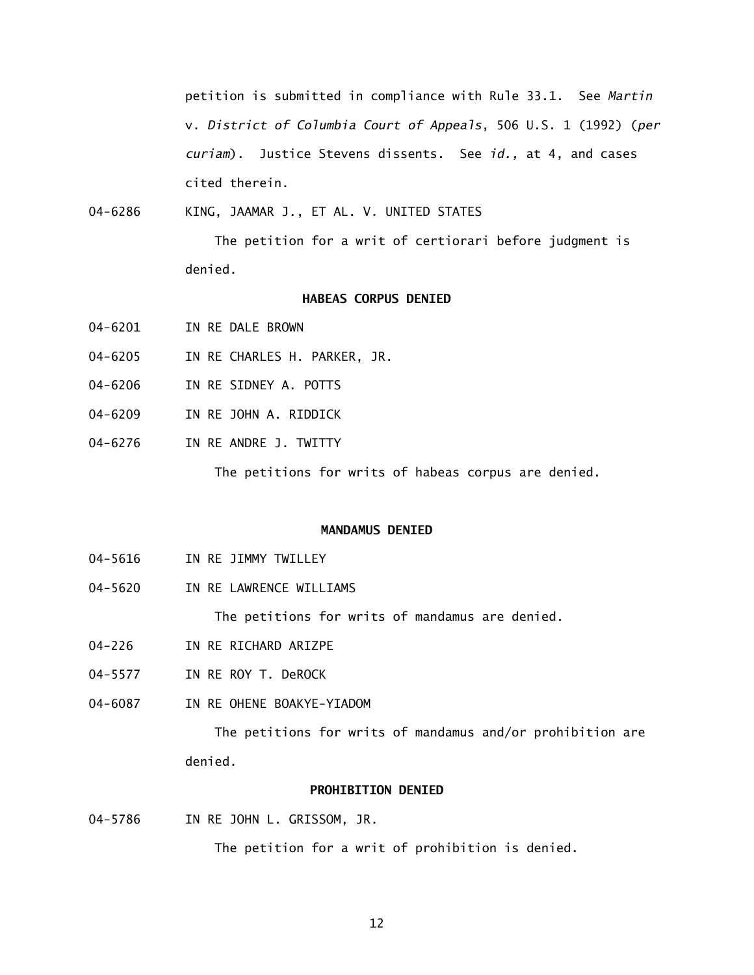petition is submitted in compliance with Rule 33.1. See *Martin*  v. *District of Columbia Court of Appeals*, 506 U.S. 1 (1992) (*per curiam*). Justice Stevens dissents. See *id.,* at 4, and cases cited therein.

04-6286 KING, JAAMAR J., ET AL. V. UNITED STATES

> The petition for a writ of certiorari before judgment is denied.

# **HABEAS CORPUS DENIED**

- 04-6201 IN RE DALE BROWN
- 04-6205 IN RE CHARLES H. PARKER, JR.
- 04-6206 IN RE SIDNEY A. POTTS
- 04-6209 IN RE JOHN A. RIDDICK
- 04-6276 IN RE ANDRE J. TWITTY

The petitions for writs of habeas corpus are denied.

#### **MANDAMUS DENIED**

- 04-5616 IN RE JIMMY TWILLEY
- 04-5620 IN RE LAWRENCE WILLIAMS

The petitions for writs of mandamus are denied.

- 04-226 IN RE RICHARD ARIZPE
- 04-5577 IN RE ROY T. DeROCK
- 04-6087 IN RE OHENE BOAKYE-YIADOM

 The petitions for writs of mandamus and/or prohibition are denied.

#### **PROHIBITION DENIED**

04-5786 IN RE JOHN L. GRISSOM, JR.

The petition for a writ of prohibition is denied.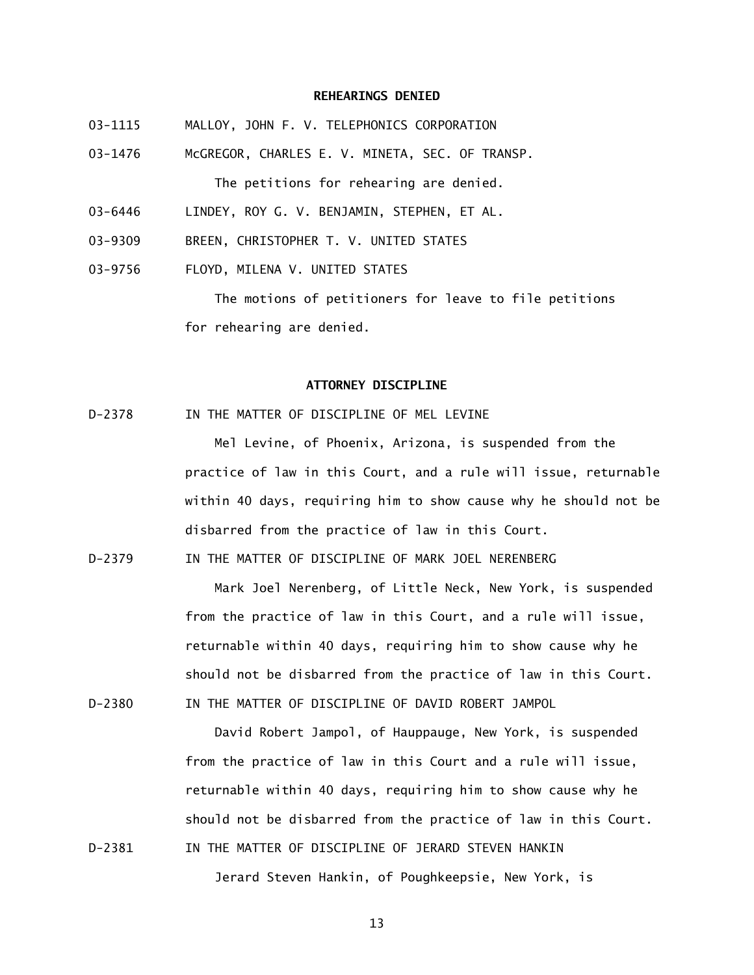#### **REHEARINGS DENIED**

- 03-1115 MALLOY, JOHN F. V. TELEPHONICS CORPORATION
- 03-1476 McGREGOR, CHARLES E. V. MINETA, SEC. OF TRANSP. The petitions for rehearing are denied.
- 03-6446 LINDEY, ROY G. V. BENJAMIN, STEPHEN, ET AL.
- 03-9309 BREEN, CHRISTOPHER T. V. UNITED STATES
- 03-9756 FLOYD, MILENA V. UNITED STATES

 The motions of petitioners for leave to file petitions for rehearing are denied.

## **ATTORNEY DISCIPLINE**

D-2378 IN THE MATTER OF DISCIPLINE OF MEL LEVINE

 Mel Levine, of Phoenix, Arizona, is suspended from the practice of law in this Court, and a rule will issue, returnable within 40 days, requiring him to show cause why he should not be disbarred from the practice of law in this Court.

D-2379 IN THE MATTER OF DISCIPLINE OF MARK JOEL NERENBERG

 Mark Joel Nerenberg, of Little Neck, New York, is suspended from the practice of law in this Court, and a rule will issue, returnable within 40 days, requiring him to show cause why he should not be disbarred from the practice of law in this Court. D-2380 IN THE MATTER OF DISCIPLINE OF DAVID ROBERT JAMPOL

 David Robert Jampol, of Hauppauge, New York, is suspended from the practice of law in this Court and a rule will issue, returnable within 40 days, requiring him to show cause why he should not be disbarred from the practice of law in this Court. D-2381 IN THE MATTER OF DISCIPLINE OF JERARD STEVEN HANKIN

Jerard Steven Hankin, of Poughkeepsie, New York, is